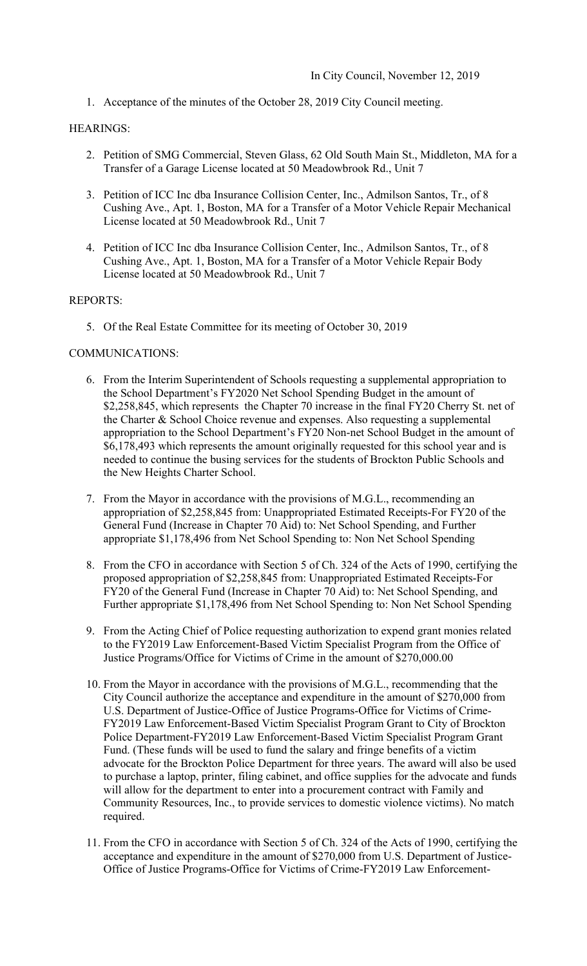1. Acceptance of the minutes of the October 28, 2019 City Council meeting.

### HEARINGS:

- 2. Petition of SMG Commercial, Steven Glass, 62 Old South Main St., Middleton, MA for a Transfer of a Garage License located at 50 Meadowbrook Rd., Unit 7
- 3. Petition of ICC Inc dba Insurance Collision Center, Inc., Admilson Santos, Tr., of 8 Cushing Ave., Apt. 1, Boston, MA for a Transfer of a Motor Vehicle Repair Mechanical License located at 50 Meadowbrook Rd., Unit 7
- 4. Petition of ICC Inc dba Insurance Collision Center, Inc., Admilson Santos, Tr., of 8 Cushing Ave., Apt. 1, Boston, MA for a Transfer of a Motor Vehicle Repair Body License located at 50 Meadowbrook Rd., Unit 7

#### REPORTS:

5. Of the Real Estate Committee for its meeting of October 30, 2019

#### COMMUNICATIONS:

- 6. From the Interim Superintendent of Schools requesting a supplemental appropriation to the School Department's FY2020 Net School Spending Budget in the amount of \$2,258,845, which represents the Chapter 70 increase in the final FY20 Cherry St. net of the Charter & School Choice revenue and expenses. Also requesting a supplemental appropriation to the School Department's FY20 Non-net School Budget in the amount of \$6,178,493 which represents the amount originally requested for this school year and is needed to continue the busing services for the students of Brockton Public Schools and the New Heights Charter School.
- 7. From the Mayor in accordance with the provisions of M.G.L., recommending an appropriation of \$2,258,845 from: Unappropriated Estimated Receipts-For FY20 of the General Fund (Increase in Chapter 70 Aid) to: Net School Spending, and Further appropriate \$1,178,496 from Net School Spending to: Non Net School Spending
- 8. From the CFO in accordance with Section 5 of Ch. 324 of the Acts of 1990, certifying the proposed appropriation of \$2,258,845 from: Unappropriated Estimated Receipts-For FY20 of the General Fund (Increase in Chapter 70 Aid) to: Net School Spending, and Further appropriate \$1,178,496 from Net School Spending to: Non Net School Spending
- 9. From the Acting Chief of Police requesting authorization to expend grant monies related to the FY2019 Law Enforcement-Based Victim Specialist Program from the Office of Justice Programs/Office for Victims of Crime in the amount of \$[270,000.00](https://270,000.00)
- 10. From the Mayor in accordance with the provisions of M.G.L., recommending that the City Council authorize the acceptance and expenditure in the amount of \$270,000 from U.S. Department of Justice-Office of Justice Programs-Office for Victims of Crime-FY2019 Law Enforcement-Based Victim Specialist Program Grant to City of Brockton Police Department-FY2019 Law Enforcement-Based Victim Specialist Program Grant Fund. (These funds will be used to fund the salary and fringe benefits of a victim advocate for the Brockton Police Department for three years. The award will also be used to purchase a laptop, printer, filing cabinet, and office supplies for the advocate and funds will allow for the department to enter into a procurement contract with Family and Community Resources, Inc., to provide services to domestic violence victims). No match required.
- 11. From the CFO in accordance with Section 5 of Ch. 324 of the Acts of 1990, certifying the acceptance and expenditure in the amount of \$270,000 from U.S. Department of Justice-Office of Justice Programs-Office for Victims of Crime-FY2019 Law Enforcement-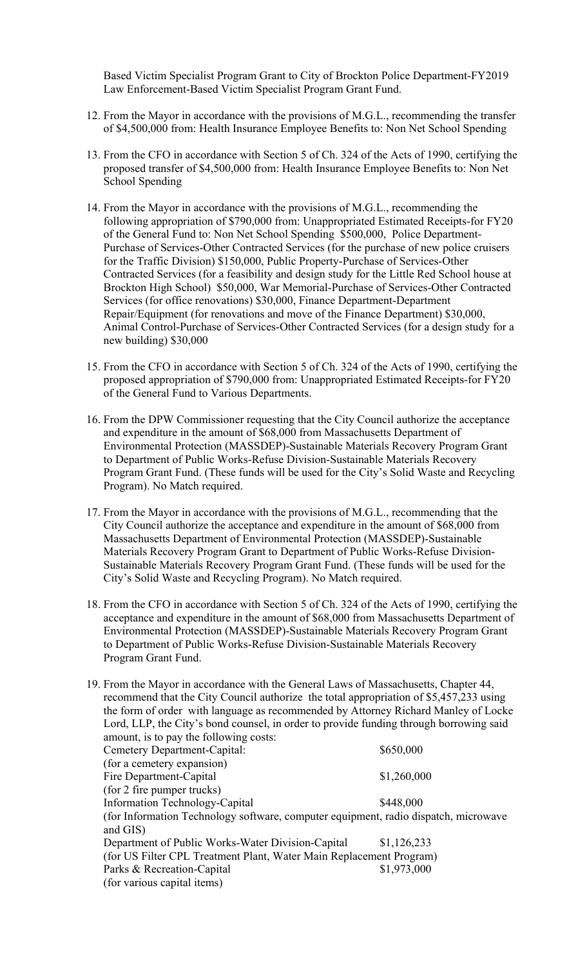Based Victim Specialist Program Grant to City of Brockton Police Department-FY2019 Law Enforcement-Based Victim Specialist Program Grant Fund.

- 12. From the Mayor in accordance with the provisions of M.G.L., recommending the transfer of \$4,500,000 from: Health Insurance Employee Benefits to: Non Net School Spending
- 13. From the CFO in accordance with Section 5 of Ch. 324 of the Acts of 1990, certifying the proposed transfer of \$4,500,000 from: Health Insurance Employee Benefits to: Non Net School Spending
- 14. From the Mayor in accordance with the provisions of M.G.L., recommending the following appropriation of \$790,000 from: Unappropriated Estimated Receipts-for FY20 of the General Fund to: Non Net School Spending \$500,000, Police Department-Purchase of Services-Other Contracted Services (for the purchase of new police cruisers for the Traffic Division) \$150,000, Public Property-Purchase of Services-Other Contracted Services (for a feasibility and design study for the Little Red School house at Brockton High School) \$50,000, War Memorial-Purchase of Services-Other Contracted Services (for office renovations) \$30,000, Finance Department-Department Repair/Equipment (for renovations and move of the Finance Department) \$30,000, Animal Control-Purchase of Services-Other Contracted Services (for a design study for a new building) \$30,000
- 15. From the CFO in accordance with Section 5 of Ch. 324 of the Acts of 1990, certifying the proposed appropriation of \$790,000 from: Unappropriated Estimated Receipts-for FY20 of the General Fund to Various Departments.
- 16. From the DPW Commissioner requesting that the City Council authorize the acceptance and expenditure in the amount of \$68,000 from Massachusetts Department of Environmental Protection (MASSDEP)-Sustainable Materials Recovery Program Grant to Department of Public Works-Refuse Division-Sustainable Materials Recovery Program Grant Fund. (These funds will be used for the City's Solid Waste and Recycling Program). No Match required.
- 17. From the Mayor in accordance with the provisions of M.G.L., recommending that the City Council authorize the acceptance and expenditure in the amount of \$68,000 from Massachusetts Department of Environmental Protection (MASSDEP)-Sustainable Materials Recovery Program Grant to Department of Public Works-Refuse Division-Sustainable Materials Recovery Program Grant Fund. (These funds will be used for the City's Solid Waste and Recycling Program). No Match required.
- 18. From the CFO in accordance with Section 5 of Ch. 324 of the Acts of 1990, certifying the acceptance and expenditure in the amount of \$68,000 from Massachusetts Department of Environmental Protection (MASSDEP)-Sustainable Materials Recovery Program Grant to Department of Public Works-Refuse Division-Sustainable Materials Recovery Program Grant Fund.

| 19. From the Mayor in accordance with the General Laws of Massachusetts, Chapter 44,            |             |
|-------------------------------------------------------------------------------------------------|-------------|
| recommend that the City Council authorize the total appropriation of \$5,457,233 using          |             |
| the form of order with language as recommended by Attorney Richard Manley of Locke              |             |
| Lord, LLP, the City's bond counsel, in order to provide funding through borrowing said          |             |
| amount, is to pay the following costs:                                                          |             |
| Cemetery Department-Capital:                                                                    | \$650,000   |
| (for a cemetery expansion)                                                                      |             |
| Fire Department-Capital                                                                         | \$1,260,000 |
| (for 2 fire pumper trucks)                                                                      |             |
| Information Technology-Capital                                                                  | \$448,000   |
| (for Information Technology software, computer equipment, radio dispatch, microwave<br>and GIS) |             |
| Department of Public Works-Water Division-Capital                                               | \$1,126,233 |
| (for US Filter CPL Treatment Plant, Water Main Replacement Program)                             |             |
| Parks & Recreation-Capital                                                                      | \$1,973,000 |
| (for various capital items)                                                                     |             |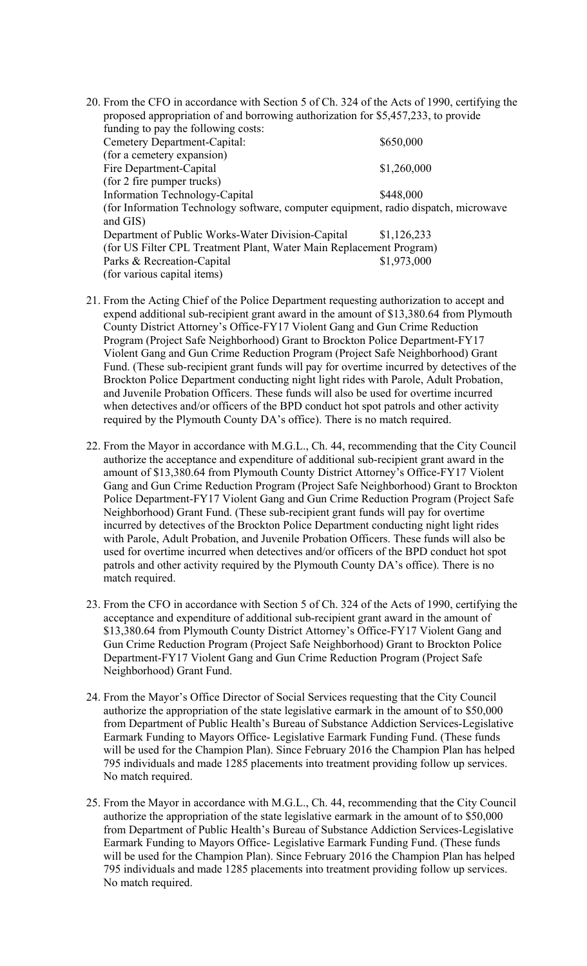- 20. From the CFO in accordance with Section 5 of Ch. 324 of the Acts of 1990, certifying the proposed appropriation of and borrowing authorization for \$5,457,233, to provide funding to pay the following costs: Cemetery Department-Capital:  $$650,000$ (for a cemetery expansion) Fire Department-Capital \$1,260,000 (for 2 fire pumper trucks) Information Technology-Capital \$448,000 (for Information Technology software, computer equipment, radio dispatch, microwave and GIS) Department of Public Works-Water Division-Capital \$1,126,233 (for US Filter CPL Treatment Plant, Water Main Replacement Program) Parks & Recreation-Capital \$1,973,000 (for various capital items)
- 21. From the Acting Chief of the Police Department requesting authorization to accept and expend additional sub-recipient grant award in the amount of [\\$13,380.64](https://13,380.64) from Plymouth County District Attorney's Office-FY17 Violent Gang and Gun Crime Reduction Program (Project Safe Neighborhood) Grant to Brockton Police Department-FY17 Violent Gang and Gun Crime Reduction Program (Project Safe Neighborhood) Grant Fund. (These sub-recipient grant funds will pay for overtime incurred by detectives of the Brockton Police Department conducting night light rides with Parole, Adult Probation, and Juvenile Probation Officers. These funds will also be used for overtime incurred when detectives and/or officers of the BPD conduct hot spot patrols and other activity required by the Plymouth County DA's office). There is no match required.
- 22. From the Mayor in accordance with M.G.L., Ch. 44, recommending that the City Council authorize the acceptance and expenditure of additional sub-recipient grant award in the amount of \$[13,380.64](https://13,380.64) from Plymouth County District Attorney's Office-FY17 Violent Gang and Gun Crime Reduction Program (Project Safe Neighborhood) Grant to Brockton Police Department-FY17 Violent Gang and Gun Crime Reduction Program (Project Safe Neighborhood) Grant Fund. (These sub-recipient grant funds will pay for overtime incurred by detectives of the Brockton Police Department conducting night light rides with Parole, Adult Probation, and Juvenile Probation Officers. These funds will also be used for overtime incurred when detectives and/or officers of the BPD conduct hot spot patrols and other activity required by the Plymouth County DA's office). There is no match required.
- 23. From the CFO in accordance with Section 5 of Ch. 324 of the Acts of 1990, certifying the acceptance and expenditure of additional sub-recipient grant award in the amount of [\\$13,380.64](https://13,380.64) from Plymouth County District Attorney's Office-FY17 Violent Gang and Gun Crime Reduction Program (Project Safe Neighborhood) Grant to Brockton Police Department-FY17 Violent Gang and Gun Crime Reduction Program (Project Safe Neighborhood) Grant Fund.
- 24. From the Mayor's Office Director of Social Services requesting that the City Council authorize the appropriation of the state legislative earmark in the amount of to \$50,000 from Department of Public Health's Bureau of Substance Addiction Services-Legislative Earmark Funding to Mayors Office- Legislative Earmark Funding Fund. (These funds will be used for the Champion Plan). Since February 2016 the Champion Plan has helped 795 individuals and made 1285 placements into treatment providing follow up services. No match required.
- 25. From the Mayor in accordance with M.G.L., Ch. 44, recommending that the City Council authorize the appropriation of the state legislative earmark in the amount of to \$50,000 from Department of Public Health's Bureau of Substance Addiction Services-Legislative Earmark Funding to Mayors Office- Legislative Earmark Funding Fund. (These funds will be used for the Champion Plan). Since February 2016 the Champion Plan has helped 795 individuals and made 1285 placements into treatment providing follow up services. No match required.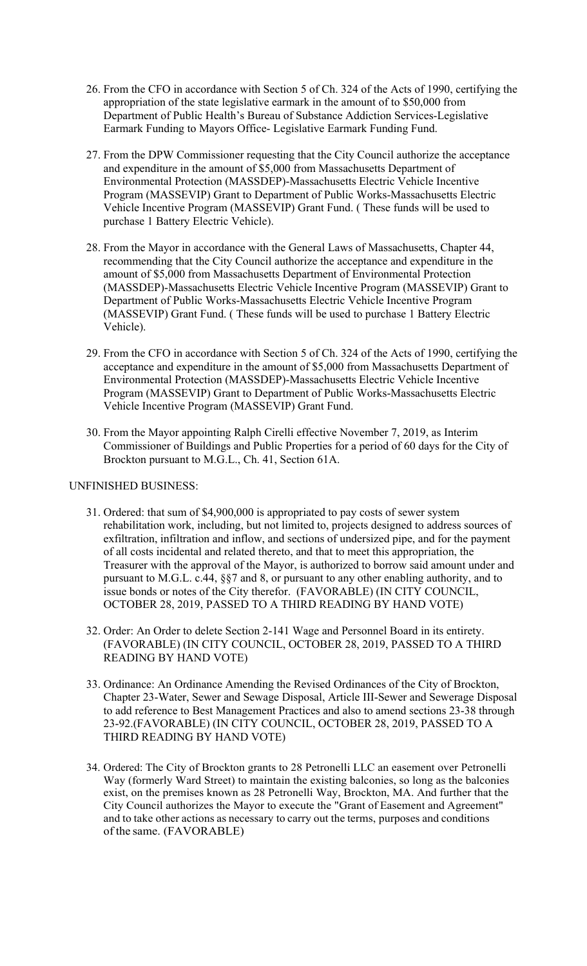- 26. From the CFO in accordance with Section 5 of Ch. 324 of the Acts of 1990, certifying the appropriation of the state legislative earmark in the amount of to \$50,000 from Department of Public Health's Bureau of Substance Addiction Services-Legislative Earmark Funding to Mayors Office- Legislative Earmark Funding Fund.
- 27. From the DPW Commissioner requesting that the City Council authorize the acceptance and expenditure in the amount of \$5,000 from Massachusetts Department of Environmental Protection (MASSDEP)-Massachusetts Electric Vehicle Incentive Program (MASSEVIP) Grant to Department of Public Works-Massachusetts Electric Vehicle Incentive Program (MASSEVIP) Grant Fund. ( These funds will be used to purchase 1 Battery Electric Vehicle).
- 28. From the Mayor in accordance with the General Laws of Massachusetts, Chapter 44, recommending that the City Council authorize the acceptance and expenditure in the amount of \$5,000 from Massachusetts Department of Environmental Protection (MASSDEP)-Massachusetts Electric Vehicle Incentive Program (MASSEVIP) Grant to Department of Public Works-Massachusetts Electric Vehicle Incentive Program (MASSEVIP) Grant Fund. ( These funds will be used to purchase 1 Battery Electric Vehicle).
- 29. From the CFO in accordance with Section 5 of Ch. 324 of the Acts of 1990, certifying the acceptance and expenditure in the amount of \$5,000 from Massachusetts Department of Environmental Protection (MASSDEP)-Massachusetts Electric Vehicle Incentive Program (MASSEVIP) Grant to Department of Public Works-Massachusetts Electric Vehicle Incentive Program (MASSEVIP) Grant Fund.
- 30. From the Mayor appointing Ralph Cirelli effective November 7, 2019, as Interim Commissioner of Buildings and Public Properties for a period of 60 days for the City of Brockton pursuant to M.G.L., Ch. 41, Section 61A.

## UNFINISHED BUSINESS:

- 31. Ordered: that sum of \$4,900,000 is appropriated to pay costs of sewer system rehabilitation work, including, but not limited to, projects designed to address sources of exfiltration, infiltration and inflow, and sections of undersized pipe, and for the payment of all costs incidental and related thereto, and that to meet this appropriation, the Treasurer with the approval of the Mayor, is authorized to borrow said amount under and pursuant to M.G.L. c.44, §§7 and 8, or pursuant to any other enabling authority, and to issue bonds or notes of the City therefor. (FAVORABLE) (IN CITY COUNCIL, OCTOBER 28, 2019, PASSED TO A THIRD READING BY HAND VOTE)
- 32. Order: An Order to delete Section 2-141 Wage and Personnel Board in its entirety. (FAVORABLE) (IN CITY COUNCIL, OCTOBER 28, 2019, PASSED TO A THIRD READING BY HAND VOTE)
- 33. Ordinance: An Ordinance Amending the Revised Ordinances of the City of Brockton, Chapter 23-Water, Sewer and Sewage Disposal, Article III-Sewer and Sewerage Disposal to add reference to Best Management Practices and also to amend sections 23-38 through 23-92.(FAVORABLE) (IN CITY COUNCIL, OCTOBER 28, 2019, PASSED TO A THIRD READING BY HAND VOTE)
- and to take other actions as necessary to carry out the terms, purposes and conditions 34. Ordered: The City of Brockton grants to 28 Petronelli LLC an easement over Petronelli Way (formerly Ward Street) to maintain the existing balconies, so long as the balconies exist, on the premises known as 28 Petronelli Way, Brockton, MA. And further that the City Council authorizes the Mayor to execute the "Grant of Easement and Agreement" of the same. (FAVORABLE)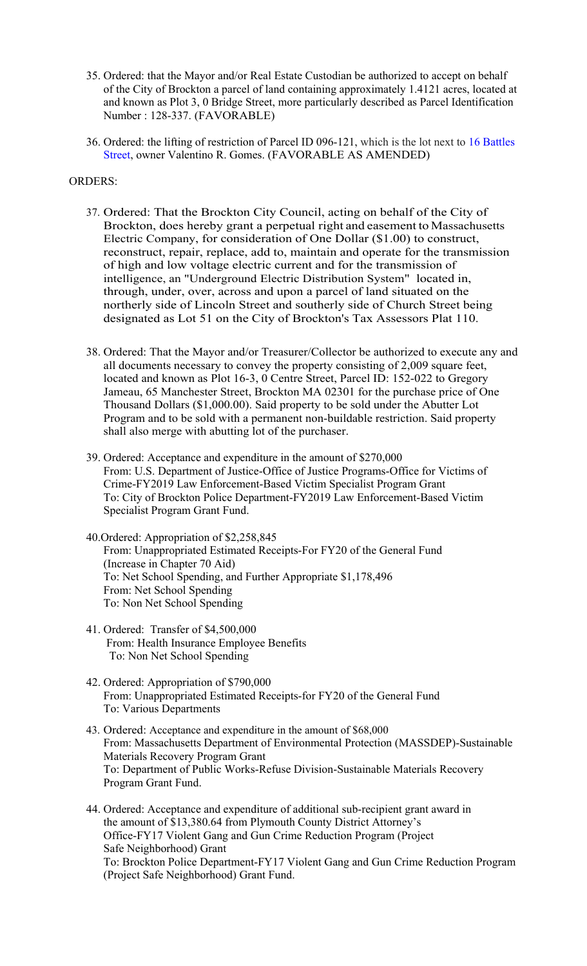- 35. Ordered: that the Mayor and/or Real Estate Custodian be authorized to accept on behalf of the City of Brockton a parcel of land containing approximately 1.4121 acres, located at and known as Plot 3, 0 Bridge Street, more particularly described as Parcel Identification Number : 128-337. (FAVORABLE)
- 36. Ordered: the lifting of restriction of Parcel ID 096-121, which is the lot next to 16 Battles Street, owner Valentino R. Gomes. (FAVORABLE AS AMENDED)

# ORDERS:

- 37. Ordered: That the Brockton City Council, acting on behalf of the City of Brockton, does hereby grant a perpetual right and easement to Massachusetts Electric Company, for consideration of One Dollar (\$1.00) to construct, reconstruct, repair, replace, add to, maintain and operate for the transmission of high and low voltage electric current and for the transmission of intelligence, an "Underground Electric Distribution System" located in, through, under, over, across and upon a parcel of land situated on the northerly side of Lincoln Street and southerly side of Church Street being designated as Lot 51 on the City of Brockton's Tax Assessors Plat 110.
- 38. Ordered: That the Mayor and/or Treasurer/Collector be authorized to execute any and all documents necessary to convey the property consisting of 2,009 square feet, located and known as Plot 16-3, 0 Centre Street, Parcel ID: 152-022 to Gregory Jameau, 65 Manchester Street, Brockton MA 02301 for the purchase price of One Thousand Dollars (\$[1,000.00\)](https://1,000.00). Said property to be sold under the Abutter Lot Program and to be sold with a permanent non-buildable restriction. Said property shall also merge with abutting lot of the purchaser.
- 39. Ordered: Acceptance and expenditure in the amount of \$270,000 From: U.S. Department of Justice-Office of Justice Programs-Office for Victims of Crime-FY2019 Law Enforcement-Based Victim Specialist Program Grant To: City of Brockton Police Department-FY2019 Law Enforcement-Based Victim Specialist Program Grant Fund.
- From: Unappropriated Estimated Receipts-For FY20 of the General Fund (Increase in Chapter 70 Aid) 40.Ordered: Appropriation of \$2,258,845 To: Net School Spending, and Further Appropriate \$1,178,496 From: Net School Spending To: Non Net School Spending
- 41. Ordered: Transfer of \$4,500,000 From: Health Insurance Employee Benefits To: Non Net School Spending
- From: Unappropriated Estimated Receipts-for FY20 of the General Fund To: Various Departments 42. Ordered: Appropriation of \$790,000
- 43. Ordered: Acceptance and expenditure in the amount of \$68,000 From: Massachusetts Department of Environmental Protection (MASSDEP)-Sustainable Materials Recovery Program Grant To: Department of Public Works-Refuse Division-Sustainable Materials Recovery Program Grant Fund.
- 44. Ordered: Acceptance and expenditure of additional sub-recipient grant award in the amount of \$[13,380.64](https://13,380.64) from Plymouth County District Attorney's Office-FY17 Violent Gang and Gun Crime Reduction Program (Project Safe Neighborhood) Grant To: Brockton Police Department-FY17 Violent Gang and Gun Crime Reduction Program (Project Safe Neighborhood) Grant Fund.